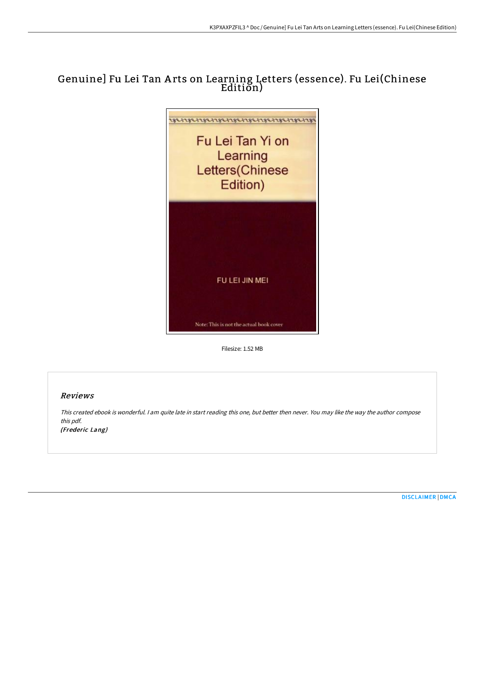# Genuine] Fu Lei Tan A rts on Learning Letters (essence). Fu Lei(Chinese Edition)



Filesize: 1.52 MB

## Reviews

This created ebook is wonderful. <sup>I</sup> am quite late in start reading this one, but better then never. You may like the way the author compose this pdf.

(Frederic Lang)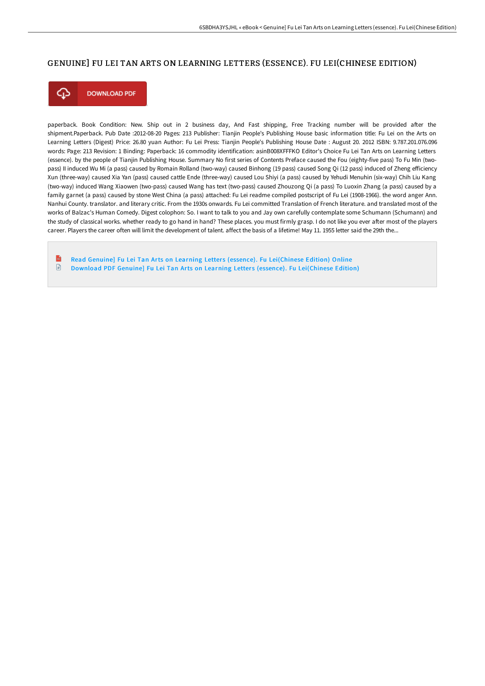### GENUINE] FU LEI TAN ARTS ON LEARNING LETTERS (ESSENCE). FU LEI(CHINESE EDITION)



**DOWNLOAD PDF** 

paperback. Book Condition: New. Ship out in 2 business day, And Fast shipping, Free Tracking number will be provided after the shipment.Paperback. Pub Date :2012-08-20 Pages: 213 Publisher: Tianjin People's Publishing House basic information title: Fu Lei on the Arts on Learning Letters (Digest) Price: 26.80 yuan Author: Fu Lei Press: Tianjin People's Publishing House Date : August 20. 2012 ISBN: 9.787.201.076.096 words: Page: 213 Revision: 1 Binding: Paperback: 16 commodity identification: asinB008XFFFKO Editor's Choice Fu Lei Tan Arts on Learning Letters (essence). by the people of Tianjin Publishing House. Summary No first series of Contents Preface caused the Fou (eighty-five pass) To Fu Min (twopass) II induced Wu Mi (a pass) caused by Romain Rolland (two-way) caused Binhong (19 pass) caused Song Qi (12 pass) induced of Zheng efficiency Xun (three-way) caused Xia Yan (pass) caused cattle Ende (three-way) caused Lou Shiyi (a pass) caused by Yehudi Menuhin (six-way) Chih Liu Kang (two-way) induced Wang Xiaowen (two-pass) caused Wang has text (two-pass) caused Zhouzong Qi (a pass) To Luoxin Zhang (a pass) caused by a family garnet (a pass) caused by stone West China (a pass) attached: Fu Lei readme compiled postscript of Fu Lei (1908-1966). the word anger Ann. Nanhui County. translator. and literary critic. From the 1930s onwards. Fu Lei committed Translation of French literature. and translated most of the works of Balzac's Human Comedy. Digest colophon: So. I want to talk to you and Jay own carefully contemplate some Schumann (Schumann) and the study of classical works. whether ready to go hand in hand? These places. you must firmly grasp. I do not like you ever after most of the players career. Players the career often will limit the development of talent. affect the basis of a lifetime! May 11. 1955 letter said the 29th the...

 $\mathbf{r}$ Read Genuine] Fu Lei Tan Arts on Learning Letters (essence). Fu [Lei\(Chinese](http://bookera.tech/genuine-fu-lei-tan-arts-on-learning-letters-esse.html) Edition) Online  $\textcolor{red}{\Box}$ Download PDF Genuine] Fu Lei Tan Arts on Learning Letters (essence). Fu [Lei\(Chinese](http://bookera.tech/genuine-fu-lei-tan-arts-on-learning-letters-esse.html) Edition)